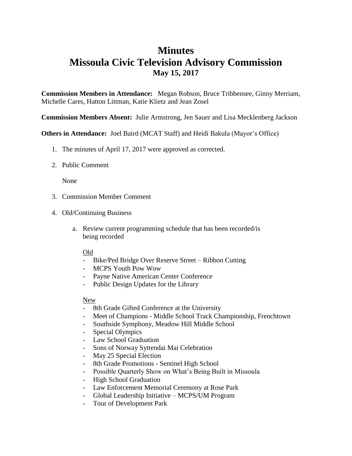## **Minutes Missoula Civic Television Advisory Commission May 15, 2017**

**Commission Members in Attendance:** Megan Robson, Bruce Tribbensee, Ginny Merriam, Michelle Cares, Hatton Littman, Katie Klietz and Jean Zosel

**Commission Members Absent:** Julie Armstrong, Jen Sauer and Lisa Mecklenberg Jackson

**Others in Attendance:** Joel Baird (MCAT Staff) and Heidi Bakula (Mayor's Office)

- 1. The minutes of April 17, 2017 were approved as corrected.
- 2. Public Comment

None

- 3. Commission Member Comment
- 4. Old/Continuing Business
	- a. Review current programming schedule that has been recorded/is being recorded

## Old

- Bike/Ped Bridge Over Reserve Street Ribbon Cutting
- MCPS Youth Pow Wow
- Payne Native American Center Conference
- Public Design Updates for the Library

## New

- 8th Grade Gifted Conference at the University
- Meet of Champions Middle School Track Championship, Frenchtown
- Southside Symphony, Meadow Hill Middle School
- Special Olympics
- Law School Graduation
- Sons of Norway Syttendai Mai Celebration
- May 25 Special Election
- 8th Grade Promotions Sentinel High School
- Possible Quarterly Show on What's Being Built in Missoula
- High School Graduation
- Law Enforcement Memorial Ceremony at Rose Park
- Global Leadership Initiative MCPS/UM Program
- Tour of Development Park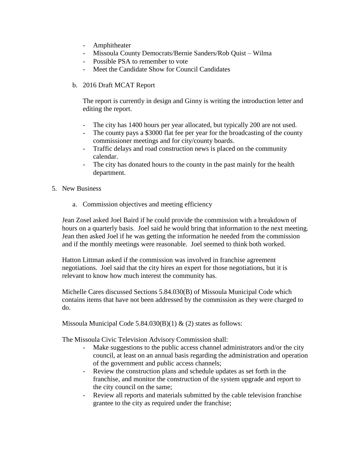- Amphitheater
- Missoula County Democrats/Bernie Sanders/Rob Quist Wilma
- Possible PSA to remember to vote
- Meet the Candidate Show for Council Candidates
- b. 2016 Draft MCAT Report

The report is currently in design and Ginny is writing the introduction letter and editing the report.

- The city has 1400 hours per year allocated, but typically 200 are not used.
- The county pays a \$3000 flat fee per year for the broadcasting of the county commissioner meetings and for city/county boards.
- Traffic delays and road construction news is placed on the community calendar.
- The city has donated hours to the county in the past mainly for the health department.
- 5. New Business
	- a. Commission objectives and meeting efficiency

Jean Zosel asked Joel Baird if he could provide the commission with a breakdown of hours on a quarterly basis. Joel said he would bring that information to the next meeting. Jean then asked Joel if he was getting the information he needed from the commission and if the monthly meetings were reasonable. Joel seemed to think both worked.

Hatton Littman asked if the commission was involved in franchise agreement negotiations. Joel said that the city hires an expert for those negotiations, but it is relevant to know how much interest the community has.

Michelle Cares discussed Sections 5.84.030(B) of Missoula Municipal Code which contains items that have not been addressed by the commission as they were charged to do.

Missoula Municipal Code 5.84.030(B)(1)  $\&$  (2) states as follows:

The Missoula Civic Television Advisory Commission shall:

- Make suggestions to the public access channel administrators and/or the city council, at least on an annual basis regarding the administration and operation of the government and public access channels;
- Review the construction plans and schedule updates as set forth in the franchise, and monitor the construction of the system upgrade and report to the city council on the same;
- Review all reports and materials submitted by the cable television franchise grantee to the city as required under the franchise;